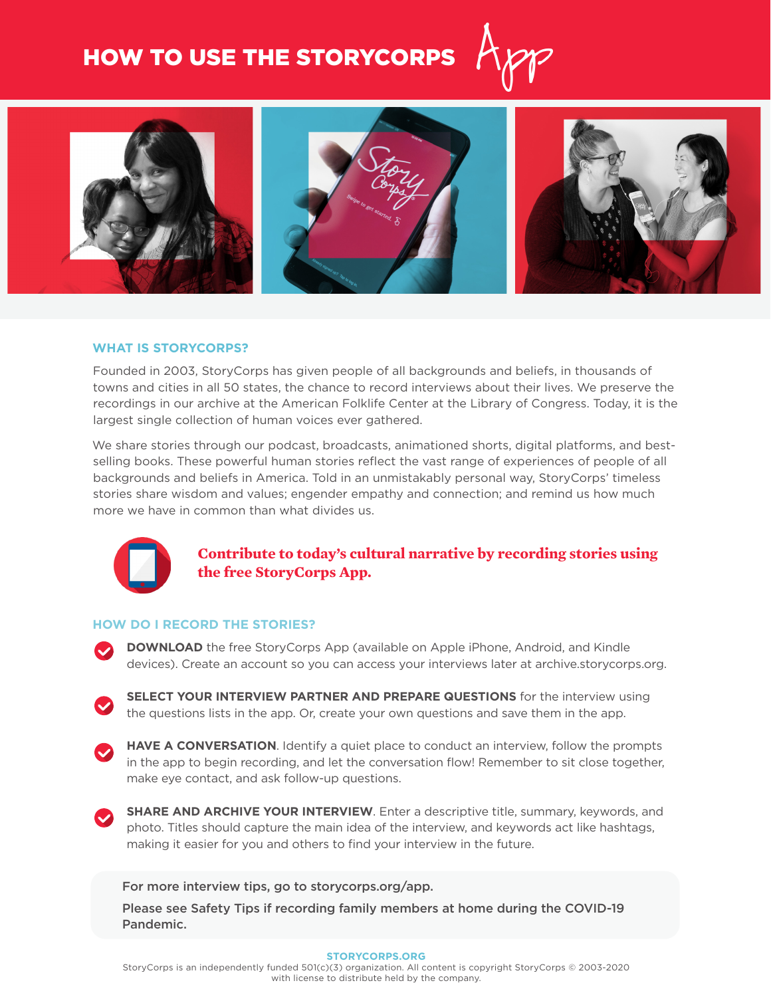# HOW TO USE THE STORYCORPS



#### **WHAT IS STORYCORPS?**

Founded in 2003, StoryCorps has given people of all backgrounds and beliefs, in thousands of towns and cities in all 50 states, the chance to record interviews about their lives. We preserve the recordings in our archive at the American Folklife Center at the Library of Congress. Today, it is the largest single collection of human voices ever gathered.

We share stories through our podcast, broadcasts, animationed shorts, digital platforms, and bestselling books. These powerful human stories reflect the vast range of experiences of people of all backgrounds and beliefs in America. Told in an unmistakably personal way, StoryCorps' timeless stories share wisdom and values; engender empathy and connection; and remind us how much more we have in common than what divides us.



## **Contribute to today's cultural narrative by recording stories using the free StoryCorps App.**

#### **HOW DO I RECORD THE STORIES?**

- **DOWNLOAD** the free StoryCorps App (available on Apple iPhone, Android, and Kindle devices). Create an account so you can access your interviews later at archive.storycorps.org.
- **SELECT YOUR INTERVIEW PARTNER AND PREPARE QUESTIONS** for the interview using the questions lists in the app. Or, create your own questions and save them in the app.
- **HAVE A CONVERSATION**. Identify a quiet place to conduct an interview, follow the prompts in the app to begin recording, and let the conversation flow! Remember to sit close together, make eye contact, and ask follow-up questions.



**SHARE AND ARCHIVE YOUR INTERVIEW**. Enter a descriptive title, summary, keywords, and photo. Titles should capture the main idea of the interview, and keywords act like hashtags, making it easier for you and others to find your interview in the future.

For more interview tips, go to storycorps.org/app.

Please see Safety Tips if recording family members at home during the COVID-19 Pandemic.

#### **STORYCORPS.ORG**